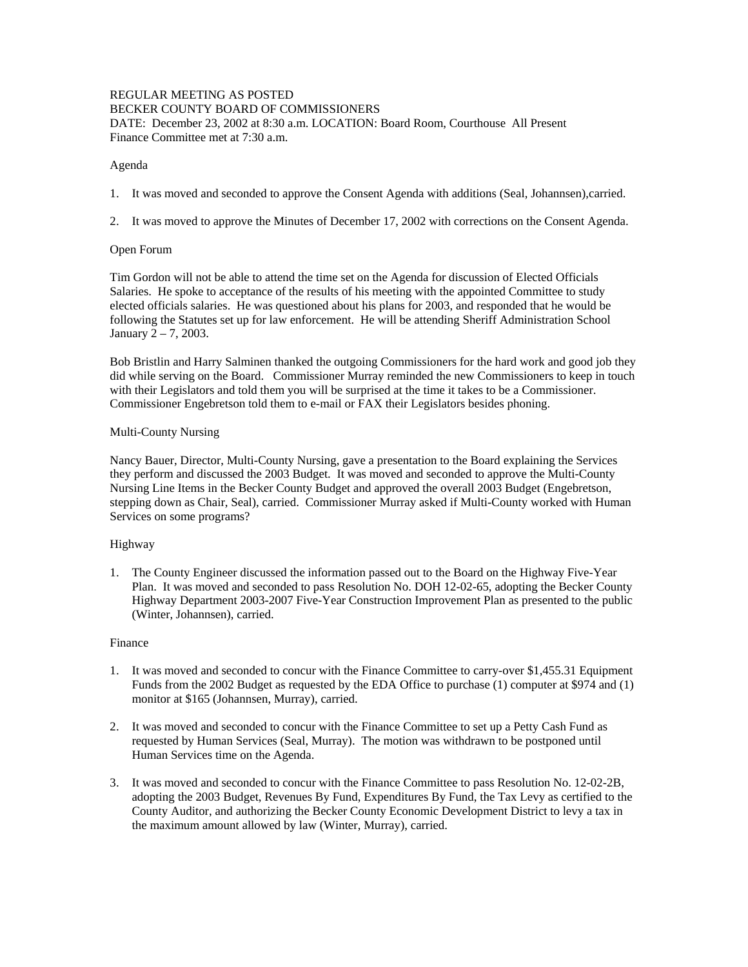### REGULAR MEETING AS POSTED BECKER COUNTY BOARD OF COMMISSIONERS DATE: December 23, 2002 at 8:30 a.m. LOCATION: Board Room, Courthouse All Present Finance Committee met at 7:30 a.m.

### Agenda

- 1. It was moved and seconded to approve the Consent Agenda with additions (Seal, Johannsen),carried.
- 2. It was moved to approve the Minutes of December 17, 2002 with corrections on the Consent Agenda.

# Open Forum

Tim Gordon will not be able to attend the time set on the Agenda for discussion of Elected Officials Salaries. He spoke to acceptance of the results of his meeting with the appointed Committee to study elected officials salaries. He was questioned about his plans for 2003, and responded that he would be following the Statutes set up for law enforcement. He will be attending Sheriff Administration School January 2 – 7, 2003.

Bob Bristlin and Harry Salminen thanked the outgoing Commissioners for the hard work and good job they did while serving on the Board. Commissioner Murray reminded the new Commissioners to keep in touch with their Legislators and told them you will be surprised at the time it takes to be a Commissioner. Commissioner Engebretson told them to e-mail or FAX their Legislators besides phoning.

#### Multi-County Nursing

Nancy Bauer, Director, Multi-County Nursing, gave a presentation to the Board explaining the Services they perform and discussed the 2003 Budget. It was moved and seconded to approve the Multi-County Nursing Line Items in the Becker County Budget and approved the overall 2003 Budget (Engebretson, stepping down as Chair, Seal), carried. Commissioner Murray asked if Multi-County worked with Human Services on some programs?

# Highway

1. The County Engineer discussed the information passed out to the Board on the Highway Five-Year Plan. It was moved and seconded to pass Resolution No. DOH 12-02-65, adopting the Becker County Highway Department 2003-2007 Five-Year Construction Improvement Plan as presented to the public (Winter, Johannsen), carried.

#### Finance

- 1. It was moved and seconded to concur with the Finance Committee to carry-over \$1,455.31 Equipment Funds from the 2002 Budget as requested by the EDA Office to purchase (1) computer at \$974 and (1) monitor at \$165 (Johannsen, Murray), carried.
- 2. It was moved and seconded to concur with the Finance Committee to set up a Petty Cash Fund as requested by Human Services (Seal, Murray). The motion was withdrawn to be postponed until Human Services time on the Agenda.
- 3. It was moved and seconded to concur with the Finance Committee to pass Resolution No. 12-02-2B, adopting the 2003 Budget, Revenues By Fund, Expenditures By Fund, the Tax Levy as certified to the County Auditor, and authorizing the Becker County Economic Development District to levy a tax in the maximum amount allowed by law (Winter, Murray), carried.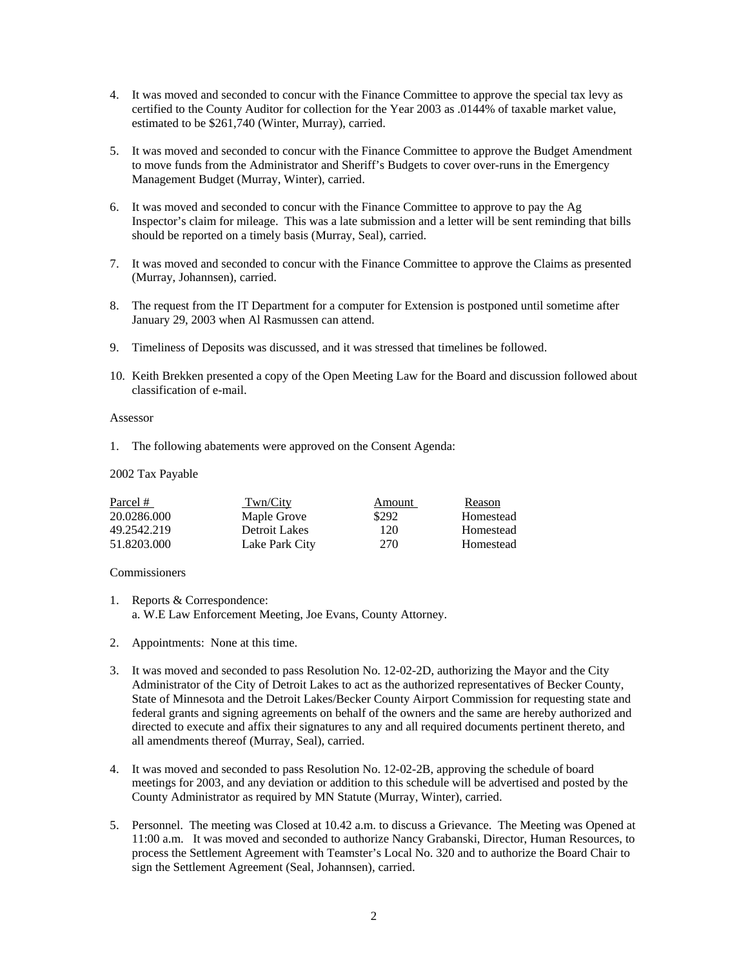- 4. It was moved and seconded to concur with the Finance Committee to approve the special tax levy as certified to the County Auditor for collection for the Year 2003 as .0144% of taxable market value, estimated to be \$261,740 (Winter, Murray), carried.
- 5. It was moved and seconded to concur with the Finance Committee to approve the Budget Amendment to move funds from the Administrator and Sheriff's Budgets to cover over-runs in the Emergency Management Budget (Murray, Winter), carried.
- 6. It was moved and seconded to concur with the Finance Committee to approve to pay the Ag Inspector's claim for mileage. This was a late submission and a letter will be sent reminding that bills should be reported on a timely basis (Murray, Seal), carried.
- 7. It was moved and seconded to concur with the Finance Committee to approve the Claims as presented (Murray, Johannsen), carried.
- 8. The request from the IT Department for a computer for Extension is postponed until sometime after January 29, 2003 when Al Rasmussen can attend.
- 9. Timeliness of Deposits was discussed, and it was stressed that timelines be followed.
- 10. Keith Brekken presented a copy of the Open Meeting Law for the Board and discussion followed about classification of e-mail.

#### Assessor

1. The following abatements were approved on the Consent Agenda:

# 2002 Tax Payable

| Parcel #    | Twn/City       | Amount | Reason    |
|-------------|----------------|--------|-----------|
| 20.0286.000 | Maple Grove    | \$292  | Homestead |
| 49.2542.219 | Detroit Lakes  | 120    | Homestead |
| 51.8203.000 | Lake Park City | 270    | Homestead |

### Commissioners

- 1. Reports & Correspondence: a. W.E Law Enforcement Meeting, Joe Evans, County Attorney.
- 2. Appointments: None at this time.
- 3. It was moved and seconded to pass Resolution No. 12-02-2D, authorizing the Mayor and the City Administrator of the City of Detroit Lakes to act as the authorized representatives of Becker County, State of Minnesota and the Detroit Lakes/Becker County Airport Commission for requesting state and federal grants and signing agreements on behalf of the owners and the same are hereby authorized and directed to execute and affix their signatures to any and all required documents pertinent thereto, and all amendments thereof (Murray, Seal), carried.
- 4. It was moved and seconded to pass Resolution No. 12-02-2B, approving the schedule of board meetings for 2003, and any deviation or addition to this schedule will be advertised and posted by the County Administrator as required by MN Statute (Murray, Winter), carried.
- 5. Personnel. The meeting was Closed at 10.42 a.m. to discuss a Grievance. The Meeting was Opened at 11:00 a.m. It was moved and seconded to authorize Nancy Grabanski, Director, Human Resources, to process the Settlement Agreement with Teamster's Local No. 320 and to authorize the Board Chair to sign the Settlement Agreement (Seal, Johannsen), carried.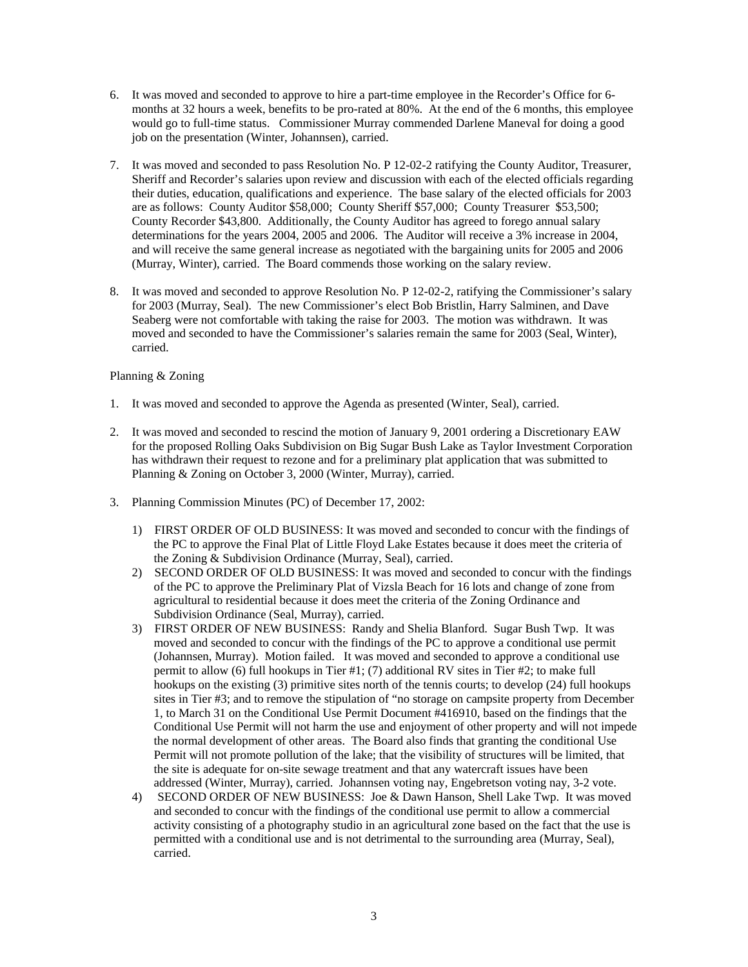- 6. It was moved and seconded to approve to hire a part-time employee in the Recorder's Office for 6 months at 32 hours a week, benefits to be pro-rated at 80%. At the end of the 6 months, this employee would go to full-time status. Commissioner Murray commended Darlene Maneval for doing a good job on the presentation (Winter, Johannsen), carried.
- 7. It was moved and seconded to pass Resolution No. P 12-02-2 ratifying the County Auditor, Treasurer, Sheriff and Recorder's salaries upon review and discussion with each of the elected officials regarding their duties, education, qualifications and experience. The base salary of the elected officials for 2003 are as follows: County Auditor \$58,000; County Sheriff \$57,000; County Treasurer \$53,500; County Recorder \$43,800. Additionally, the County Auditor has agreed to forego annual salary determinations for the years 2004, 2005 and 2006. The Auditor will receive a 3% increase in 2004, and will receive the same general increase as negotiated with the bargaining units for 2005 and 2006 (Murray, Winter), carried. The Board commends those working on the salary review.
- 8. It was moved and seconded to approve Resolution No. P 12-02-2, ratifying the Commissioner's salary for 2003 (Murray, Seal). The new Commissioner's elect Bob Bristlin, Harry Salminen, and Dave Seaberg were not comfortable with taking the raise for 2003. The motion was withdrawn. It was moved and seconded to have the Commissioner's salaries remain the same for 2003 (Seal, Winter), carried.

# Planning & Zoning

- 1. It was moved and seconded to approve the Agenda as presented (Winter, Seal), carried.
- 2. It was moved and seconded to rescind the motion of January 9, 2001 ordering a Discretionary EAW for the proposed Rolling Oaks Subdivision on Big Sugar Bush Lake as Taylor Investment Corporation has withdrawn their request to rezone and for a preliminary plat application that was submitted to Planning & Zoning on October 3, 2000 (Winter, Murray), carried.
- 3. Planning Commission Minutes (PC) of December 17, 2002:
	- 1) FIRST ORDER OF OLD BUSINESS: It was moved and seconded to concur with the findings of the PC to approve the Final Plat of Little Floyd Lake Estates because it does meet the criteria of the Zoning & Subdivision Ordinance (Murray, Seal), carried.
	- 2) SECOND ORDER OF OLD BUSINESS: It was moved and seconded to concur with the findings of the PC to approve the Preliminary Plat of Vizsla Beach for 16 lots and change of zone from agricultural to residential because it does meet the criteria of the Zoning Ordinance and Subdivision Ordinance (Seal, Murray), carried.
	- 3) FIRST ORDER OF NEW BUSINESS: Randy and Shelia Blanford. Sugar Bush Twp. It was moved and seconded to concur with the findings of the PC to approve a conditional use permit (Johannsen, Murray). Motion failed. It was moved and seconded to approve a conditional use permit to allow (6) full hookups in Tier #1; (7) additional RV sites in Tier #2; to make full hookups on the existing (3) primitive sites north of the tennis courts; to develop (24) full hookups sites in Tier #3; and to remove the stipulation of "no storage on campsite property from December 1, to March 31 on the Conditional Use Permit Document #416910, based on the findings that the Conditional Use Permit will not harm the use and enjoyment of other property and will not impede the normal development of other areas. The Board also finds that granting the conditional Use Permit will not promote pollution of the lake; that the visibility of structures will be limited, that the site is adequate for on-site sewage treatment and that any watercraft issues have been addressed (Winter, Murray), carried. Johannsen voting nay, Engebretson voting nay, 3-2 vote.
	- 4) SECOND ORDER OF NEW BUSINESS: Joe & Dawn Hanson, Shell Lake Twp. It was moved and seconded to concur with the findings of the conditional use permit to allow a commercial activity consisting of a photography studio in an agricultural zone based on the fact that the use is permitted with a conditional use and is not detrimental to the surrounding area (Murray, Seal), carried.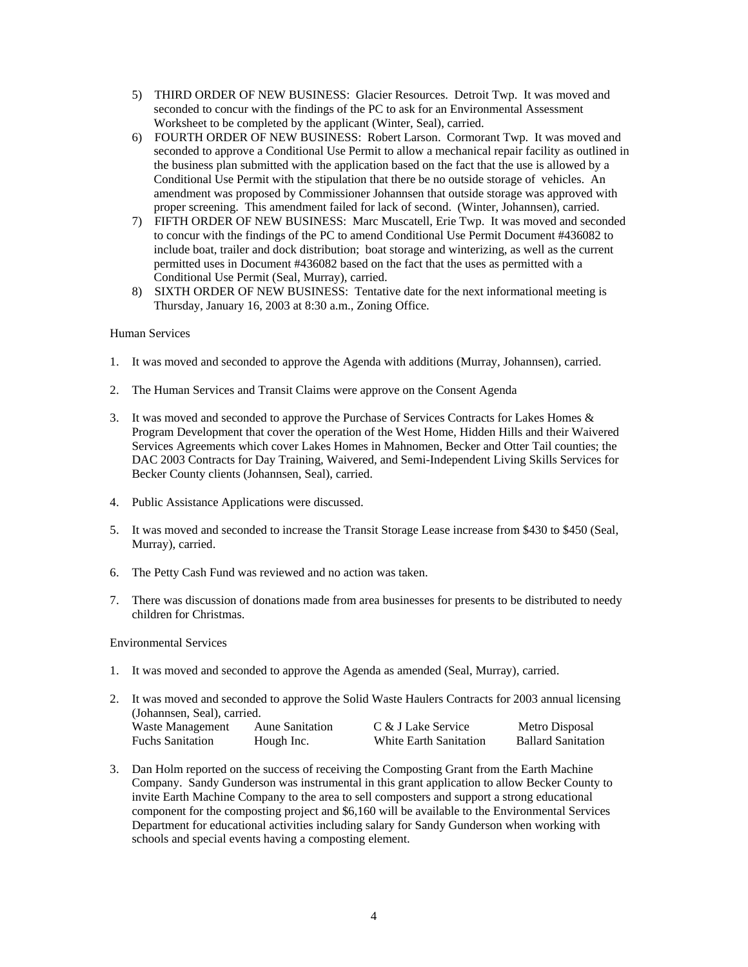- 5) THIRD ORDER OF NEW BUSINESS: Glacier Resources. Detroit Twp. It was moved and seconded to concur with the findings of the PC to ask for an Environmental Assessment Worksheet to be completed by the applicant (Winter, Seal), carried.
- 6) FOURTH ORDER OF NEW BUSINESS: Robert Larson. Cormorant Twp. It was moved and seconded to approve a Conditional Use Permit to allow a mechanical repair facility as outlined in the business plan submitted with the application based on the fact that the use is allowed by a Conditional Use Permit with the stipulation that there be no outside storage of vehicles. An amendment was proposed by Commissioner Johannsen that outside storage was approved with proper screening. This amendment failed for lack of second. (Winter, Johannsen), carried.
- 7) FIFTH ORDER OF NEW BUSINESS: Marc Muscatell, Erie Twp. It was moved and seconded to concur with the findings of the PC to amend Conditional Use Permit Document #436082 to include boat, trailer and dock distribution; boat storage and winterizing, as well as the current permitted uses in Document #436082 based on the fact that the uses as permitted with a Conditional Use Permit (Seal, Murray), carried.
- 8) SIXTH ORDER OF NEW BUSINESS: Tentative date for the next informational meeting is Thursday, January 16, 2003 at 8:30 a.m., Zoning Office.

#### Human Services

- 1. It was moved and seconded to approve the Agenda with additions (Murray, Johannsen), carried.
- 2. The Human Services and Transit Claims were approve on the Consent Agenda
- 3. It was moved and seconded to approve the Purchase of Services Contracts for Lakes Homes & Program Development that cover the operation of the West Home, Hidden Hills and their Waivered Services Agreements which cover Lakes Homes in Mahnomen, Becker and Otter Tail counties; the DAC 2003 Contracts for Day Training, Waivered, and Semi-Independent Living Skills Services for Becker County clients (Johannsen, Seal), carried.
- 4. Public Assistance Applications were discussed.
- 5. It was moved and seconded to increase the Transit Storage Lease increase from \$430 to \$450 (Seal, Murray), carried.
- 6. The Petty Cash Fund was reviewed and no action was taken.
- 7. There was discussion of donations made from area businesses for presents to be distributed to needy children for Christmas.

Environmental Services

- 1. It was moved and seconded to approve the Agenda as amended (Seal, Murray), carried.
- 2. It was moved and seconded to approve the Solid Waste Haulers Contracts for 2003 annual licensing (Johannsen, Seal), carried. Waste Management Aune Sanitation C & J Lake Service Metro Disposal Fuchs Sanitation Hough Inc. White Earth Sanitation Ballard Sanitation
- 3. Dan Holm reported on the success of receiving the Composting Grant from the Earth Machine Company. Sandy Gunderson was instrumental in this grant application to allow Becker County to invite Earth Machine Company to the area to sell composters and support a strong educational component for the composting project and \$6,160 will be available to the Environmental Services Department for educational activities including salary for Sandy Gunderson when working with schools and special events having a composting element.